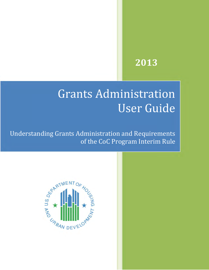# **2013**

# Grants Administration User Guide

Understanding Grants Administration and Requirements of the CoC Program Interim Rule

**Grants Administration User Guide Page i DRAFT: 10/11/2012**

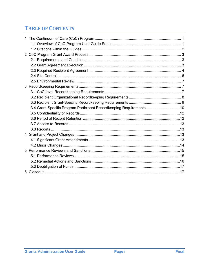# **TABLE OF CONTENTS**

| 3.4 Grant-Specific Program Participant Recordkeeping Requirements10 |
|---------------------------------------------------------------------|
|                                                                     |
|                                                                     |
|                                                                     |
|                                                                     |
|                                                                     |
|                                                                     |
|                                                                     |
|                                                                     |
|                                                                     |
|                                                                     |
|                                                                     |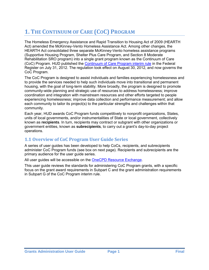# <span id="page-2-0"></span>**1. THE CONTINUUM OF CARE (COC) PROGRAM**

The Homeless Emergency Assistance and Rapid Transition to Housing Act of 2009 (HEARTH Act) amended the McKinney-Vento Homeless Assistance Act. Among other changes, the HEARTH Act consolidated three separate McKinney-Vento homeless assistance programs (Supportive Housing Program, Shelter Plus Care Program, and Section 8 Moderate Rehabilitation SRO program) into a single grant program known as the Continuum of Care (CoC) Program. HUD published the [Continuum of Care Program interim rule](https://www.onecpd.info/resources/documents/CoCProgramInterimRule_FormattedVersion.pdf) in the Federal Register on July 31, 2012. The regulation took effect on August 30, 2012, and now governs the CoC Program.

The CoC Program is designed to assist individuals and families experiencing homelessness and to provide the services needed to help such individuals move into transitional and permanent housing, with the goal of long-term stability. More broadly, the program is designed to promote community-wide planning and strategic use of resources to address homelessness; improve coordination and integration with mainstream resources and other efforts targeted to people experiencing homelessness; improve data collection and performance measurement; and allow each community to tailor its project(s) to the particular strengths and challenges within that community.

Each year, HUD awards CoC Program funds competitively to nonprofit organizations, States, units of local governments, and/or instrumentalities of State or local government, collectively known as **recipients**. In turn, recipients may contract or subgrant with other organizations or government entities, known as **subrecipients**, to carry out a grant's day-to-day project operations.

# <span id="page-2-1"></span>**1.1 Overview of CoC Program User Guide Series**

A series of user guides has been developed to help CoCs, recipients, and subrecipients administer CoC Program funds (see box on next page). Recipients and subrecipients are the primary audience for the user guide series.

All user guides will be accessible on the [OneCPD Resource Exchange.](https://www.onecpd.info/)

This user guide reviews the standards for administering CoC Program grants, with a specific focus on the grant award requirements in Subpart C and the grant administration requirements in Subpart G of the CoC Program interim rule.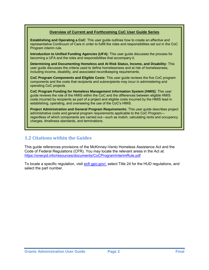#### **Overview of Current and Forthcoming CoC User Guide Series**

**Establishing and Operating a CoC**: This user guide outlines how to create an effective and representative Continuum of Care in order to fulfill the roles and responsibilities set out in the CoC Program interim rule.

**Introduction to Unified Funding Agencies (UFA):** This user guide discusses the process for becoming a UFA and the roles and responsibilities that accompany it.

**Determining and Documenting Homeless and At Risk Status, Income, and Disability:** This user guide discusses the criteria used to define homelessness and at risk of homelessness, including income, disability, and associated recordkeeping requirements.

**CoC Program Components and Eligible Costs**: This user guide reviews the five CoC program components and the costs that recipients and subrecipients may incur in administering and operating CoC projects.

**CoC Program Funding for Homeless Management Information System (HMIS)**: This user guide reviews the role of the HMIS within the CoC and the differences between eligible HMIS costs incurred by recipients as part of a project and eligible costs incurred by the HMIS lead in establishing, operating, and overseeing the use of the CoC's HMIS.

**Project Administration and General Program Requirements:** This user guide describes project administrative costs and general program requirements applicable to the CoC Program regardless of which components are carried out—such as match, calculating rents and occupancy charges, timeliness standards, and terminations.

#### <span id="page-3-0"></span>**1.2 Citations within the Guides**

This guide references provisions of the McKinney-Vento Homeless Assistance Act and the Code of Federal Regulations (CFR). You may locate the relevant areas in the Act at: <https://onecpd.info/resources/documents/CoCProgramInterimRule.pdf>

To locate a specific regulation, visit [ecfr.gpo.gov/,](http://ecfr.gpoaccess.gov/cgi/t/text/text-idx?c=ecfr&tpl=%2Findex.tpl) select Title 24 for the HUD regulations, and select the part number.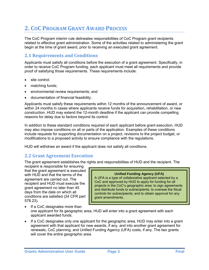# <span id="page-4-0"></span>**2. COC PROGRAM GRANT AWARD PROCESS**

The CoC Program interim rule delineates responsibilities of CoC Program grant recipients related to effective grant administration. Some of the activities related to administering the grant begin at the time of grant award, prior to receiving an executed grant agreement.

## <span id="page-4-1"></span>**2.1 Requirements and Conditions**

Applicants must satisfy all conditions before the execution of a grant agreement. Specifically, in order to receive CoC Program funding, each applicant must meet all requirements and provide proof of satisfying those requirements. These requirements include:

- site control;
- matching funds;
- environmental review requirements; and
- documentation of financial feasibility.

Applicants must satisfy these requirements within 12 months of the announcement of award, or within 24 months in cases where applicants receive funds for acquisition, rehabilitation, or new construction. HUD may extend the 12-month deadline if the applicant can provide compelling reasons for delay due to factors beyond its control.

In addition to these standard conditions required of each applicant before grant execution, HUD may also impose conditions on all or parts of the application. Examples of these conditions include requests for supporting documentation on a project, revisions to the project budget, or modifications to a proposed activity to ensure compliance with the regulations.

HUD will withdraw an award if the applicant does not satisfy all conditions.

#### <span id="page-4-2"></span>**2.2 Grant Agreement Execution**

The grant agreement establishes the rights and responsibilities of HUD and the recipient. The

recipient is responsible for ensuring that the grant agreement is executed with HUD and that the terms of the agreement are carried out. The recipient and HUD must execute the grant agreement no later than 45 days from the date on which all conditions are satisfied (24 CFR part 578.23).

#### **Unified Funding Agency (UFA)**

A UFA is a type of collaborative applicant selected by a CoC and approved by HUD to apply for funding for all projects in the CoC's geographic area; to sign agreements and distribute funds to subrecipients; to oversee the fiscal controls for subrecipients; and to obtain approval for any grant amendments.

- If a CoC designates more than one applicant for its geographic area, HUD will enter into a grant agreement with each applicant awarded funds.
- If a CoC designates only one applicant for the geographic area, HUD may enter into a grant agreement with that applicant for new awards, if any, and into another grant agreement for renewals, CoC planning, and Unified Funding Agency (UFA) costs, if any. The two grants will cover the entire geographic area.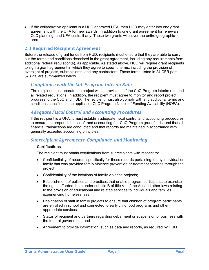• If the collaborative applicant is a HUD approved UFA, then HUD may enter into one grant agreement with the UFA for new awards, in addition to one grant agreement for renewals, CoC planning, and UFA costs, if any. These two grants will cover the entire geographic area.

# <span id="page-5-0"></span>**2.3 Required Recipient Agreement**

Before the release of grant funds from HUD, recipients must ensure that they are able to carry out the terms and conditions described in the grant agreement, including any requirements from additional federal regulation(s), as applicable. As stated above, HUD will require grant recipients to sign a grant agreement in which they agree to specific terms, including the provision of oversight of projects, subrecipients, and any contractors. These terms, listed in 24 CFR part 578.23, are summarized below.

#### *Compliance with the CoC Program Interim Rule*

The recipient must operate the project within provisions of the CoC Program interim rule and all related regulations. In addition, the recipient must agree to monitor and report project progress to the CoC and HUD. The recipient must also comply with any additional terms and conditions specified in the applicable CoC Program Notice of Funding Availability (NOFA).

#### *Adequate Fiscal Control and Accounting Procedures*

If the recipient is a UFA, it must establish adequate fiscal control and accounting procedures to ensure the proper disbursal of, and accounting for, CoC Program grant funds, and that all financial transactions are conducted and that records are maintained in accordance with generally accepted accounting principles.

#### *Subrecipient Agreements, Compliance, and Monitoring*

#### **Certifications**

The recipient must obtain certifications from subrecipients with respect to:

- Confidentiality of records, specifically for those records pertaining to any individual or family that was provided family violence prevention or treatment services through the project;
- Confidentiality of the locations of family violence projects;
- Establishment of policies and practices that enable program participants to exercise the rights afforded them under subtitle B of title VII of the Act and other laws relating to the provision of educational and related services to individuals and families experiencing homelessness;
- Designation of staff in family projects to ensure that children of program participants are enrolled in school and connected to early childhood programs and other appropriate services;
- Status of recipient and partners regarding debarment or suspension of business with the federal government; and
- Agreement to provide information, such as data and reports, as required by HUD.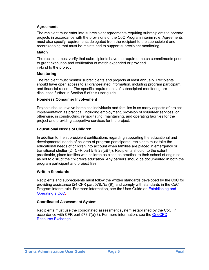#### **Agreements**

The recipient must enter into subrecipient agreements requiring subrecipients to operate projects in accordance with the provisions of the CoC Program interim rule. Agreements must also specify requirements delegated from the recipient to the subrecipient and recordkeeping that must be maintained to support subrecipient monitoring.

#### **Match**

The recipient must verify that subrecipients have the required match commitments prior to grant execution and verification of match expended or provided in-kind to the project.

#### **Monitoring**

The recipient must monitor subrecipients and projects at least annually. Recipients should have open access to all grant-related information, including program participant and financial records. The specific requirements of subrecipient monitoring are discussed further in Section 5 of this user guide.

#### **Homeless Consumer Involvement**

Projects should involve homeless individuals and families in as many aspects of project implementation as practical, including employment, provision of volunteer services, or otherwise, in constructing, rehabilitating, maintaining, and operating facilities for the project and providing supportive services for the project.

#### **Educational Needs of Children**

In addition to the subrecipient certifications regarding supporting the educational and developmental needs of children of program participants, recipients must take the educational needs of children into account when families are placed in emergency or transitional shelter (24 CFR part 578.23(c)(7)). Recipients should, to the extent practicable, place families with children as close as practical to their school of origin so as not to disrupt the children's education. Any barriers should be documented in both the program participant and project files.

#### **Written Standards**

Recipients and subrecipients must follow the written standards developed by the CoC for providing assistance (24 CFR part 578.7(a)(9)) and comply with standards in the CoC Program interim rule. For more information, see the User Guide on [Establishing and](https://www.onecpd.info/resource/2717/establishing-and-operating-a-coc/)  [Operating a CoC](https://www.onecpd.info/resource/2717/establishing-and-operating-a-coc/).

#### **Coordinated Assessment System**

Recipients must use the coordinated assessment system established by the CoC, in accordance with CFR part 578.7(a)(8). For more information, see the [OneCPD](https://www.onecpd.info/)  [Resource Exchange.](https://www.onecpd.info/)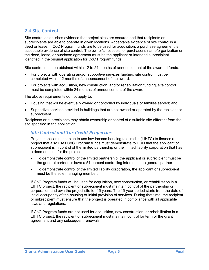## <span id="page-7-0"></span>**2.4 Site Control**

Site control establishes evidence that project sites are secured and that recipients or subrecipients are able to operate in given locations. Acceptable evidence of site control is a deed or lease. If CoC Program funds are to be used for acquisition, a purchase agreement is acceptable evidence of site control. The owner's, lessee's, or purchaser's name/organization on the deed, lease, or purchase agreement must be the applicant or intended subrecipient identified in the original application for CoC Program funds.

Site control must be obtained within 12 to 24 months of announcement of the awarded funds.

- For projects with operating and/or supportive services funding, site control must be completed within 12 months of announcement of the award.
- For projects with acquisition, new construction, and/or rehabilitation funding, site control must be completed within 24 months of announcement of the award.

The above requirements do not apply to:

- Housing that will be eventually owned or controlled by individuals or families served; and
- Supportive services provided in buildings that are not owned or operated by the recipient or subrecipient.

Recipients or subrecipients may obtain ownership or control of a suitable site different from the site specified in the application.

#### *Site Control and Tax Credit Properties*

Project applicants that plan to use low-income housing tax credits (LIHTC) to finance a project that also uses CoC Program funds must demonstrate to HUD that the applicant or subrecipient is in control of the limited partnership or the limited liability corporation that has a deed or lease for the project.

- To demonstrate control of the limited partnership, the applicant or subrecipient must be the general partner or have a 51 percent controlling interest in the general partner.
- To demonstrate control of the limited liability corporation, the applicant or subrecipient must be the sole managing member.

If CoC Program funds will be used for acquisition, new construction, or rehabilitation in a LIHTC project, the recipient or subrecipient must maintain control of the partnership or corporation and own the project site for 15 years. The 15-year period starts from the date of initial occupancy of the housing or initial provision of services. During that time, the recipient or subrecipient must ensure that the project is operated in compliance with all applicable laws and regulations.

If CoC Program funds are not used for acquisition, new construction, or rehabilitation in a LIHTC project, the recipient or subrecipient must maintain control for term of the grant agreement and any subsequent renewals.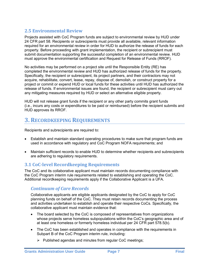## <span id="page-8-0"></span>**2.5 Environmental Review**

Projects assisted with CoC Program funds are subject to environmental review by HUD under [24 CFR part 58](http://www.gpo.gov/fdsys/pkg/CFR-2010-title24-vol1/xml/CFR-2010-title24-vol1-part50.xml). Recipients or subrecipients must provide all available, relevant information required for an environmental review in order for HUD to authorize the release of funds for each property. Before proceeding with grant implementation, the recipient or subrecipient must submit documentation supporting the successful completion of an environmental review. HUD must approve the environmental certification and Request for Release of Funds (RROF).

No activities may be performed on a project site until the Responsible Entity (RE) has completed the environmental review and HUD has authorized release of funds for the property. Specifically, the recipient or subrecipient, its project partners, and their contractors may not acquire, rehabilitate, convert, lease, repay, dispose of, demolish, or construct property for a project or commit or expend HUD or local funds for these activities until HUD has authorized the release of funds. If environmental issues are found, the recipient or subrecipient must carry out any mitigating measures required by HUD or select an alternative eligible property.

HUD will not release grant funds if the recipient or any other party commits grant funds (i.e., incurs any costs or expenditures to be paid or reimbursed) before the recipient submits and HUD approves its RROF.

# <span id="page-8-1"></span>**3. RECORDKEEPING REQUIREMENTS**

Recipients and subrecipients are required to:

- Establish and maintain standard operating procedures to make sure that program funds are used in accordance with regulatory and CoC Program NOFA requirements; and
- Maintain sufficient records to enable HUD to determine whether recipients and subrecipients are adhering to regulatory requirements.

#### <span id="page-8-2"></span>**3.1 CoC-level Recordkeeping Requirements**

The CoC and its collaborative applicant must maintain records documenting compliance with the CoC Program interim rule requirements related to establishing and operating the CoC. Additional recordkeeping requirements apply if the Collaborative Applicant is a UFA.

#### *Continuum of Care Records*

Collaborative applicants are eligible applicants designated by the CoC to apply for CoC planning funds on behalf of the CoC. They must retain records documenting the process and activities undertaken to establish and operate their respective CoCs. Specifically, the collaborative applicant must maintain evidence that:

- The board selected by the CoC is composed of representatives from organizations whose projects serve homeless subpopulations within the CoC's geographic area and of at least one homeless or formerly homeless individual per 24 CFR part 578.5(b).
- The CoC has been established and operates in compliance with the requirements in Subpart B of the CoC Program interim rule, including:
	- $\triangleright$  Published agendas and minutes from regular CoC meetings;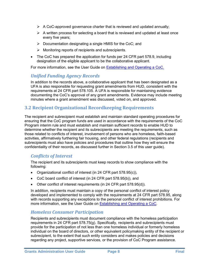- $\triangleright$  A CoC-approved governance charter that is reviewed and updated annually;
- $\triangleright$  A written process for selecting a board that is reviewed and updated at least once every five years;
- $\triangleright$  Documentation designating a single HMIS for the CoC; and
- $\triangleright$  Monitoring reports of recipients and subrecipients.
- The CoC has prepared the application for funds per 24 CFR part 578.9, including designation of the eligible applicant to be the collaborative applicant.

For more information, see the User Guide on **Establishing and Operating a CoC.** 

#### *Unified Funding Agency Records*

In addition to the records above, a collaborative applicant that has been designated as a UFA is also responsible for requesting grant amendments from HUD, consistent with the requirements at 24 CFR part 578.105. A UFA is responsible for maintaining evidence documenting the CoC's approval of any grant amendments. Evidence may include meeting minutes where a grant amendment was discussed, voted on, and approved.

#### <span id="page-9-0"></span>**3.2 Recipient Organizational Recordkeeping Requirements**

The recipient and subrecipient must establish and maintain standard operating procedures for ensuring that the CoC program funds are used in accordance with the requirements of the CoC Program interim rule and must establish and maintain sufficient records to enable HUD to determine whether the recipient and its subrecipients are meeting the requirements, such as those related to conflicts of interest, involvement of persons who are homeless, faith-based activities, affirmatively furthering fair housing, and other federal regulations (recipients and subrecipients must also have policies and procedures that outline how they will ensure the confidentiality of their records, as discussed further in Section 3.5 of this user guide).

#### *Conflicts of Interest*

The recipient and its subrecipients must keep records to show compliance with the following:

- Organizational conflict of interest (in 24 CFR part 578.95(c)),
- CoC board conflict of interest (in 24 CFR part 578.95(b)), and
- Other conflict of interest requirements (in 24 CFR part 578.95(d)).

In addition, recipients must maintain a copy of the personal conflict of interest policy developed and implemented to comply with the requirements at 24 CFR part 578.95, along with records supporting any exceptions to the personal conflict of interest prohibitions. For more information, see the User Guide on [Establishing and Operating a CoC.](https://www.onecpd.info/resource/2717/establishing-and-operating-a-coc/)

#### *Homeless Consumer Participation*

Recipients and subrecipients must document compliance with the homeless participation requirements in 24 CFR part 578.75(g). Specifically, recipients and subrecipients must provide for the participation of not less than one homeless individual or formerly homeless individual on the board of directors, or other equivalent policymaking entity of the recipient or subrecipient, to the extent that such entity considers and makes policies and decisions regarding any project, supportive services, or the provision of CoC Program assistance.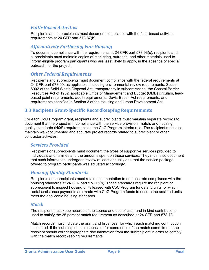#### *Faith-Based Activities*

Recipients and subrecipients must document compliance with the faith-based activities requirements at 24 CFR part 578.87(b).

## *Affirmatively Furthering Fair Housing*

To document compliance with the requirements at 24 CFR part 578.93(c), recipients and subrecipients must maintain copies of marketing, outreach, and other materials used to inform eligible program participants who are least likely to apply, in the absence of special outreach, for the project.

#### *Other Federal Requirements*

Recipients and subrecipients must document compliance with the federal requirements at 24 CFR part 578.99, as applicable, including environmental review requirements, Section 6002 of the Solid Waste Disposal Act, transparency in subcontracting, the Coastal Barrier Resources Act of 1982, applicable Office of Management and Budget (OMB) circulars, leadbased paint requirements, audit requirements, Davis-Bacon Act requirements, and requirements specified in Section 3 of the Housing and Urban Development Act.

#### <span id="page-10-0"></span>**3.3 Recipient Grant-Specific Recordkeeping Requirements**

For each CoC Program grant, recipients and subrecipients must maintain separate records to document that the project is in compliance with the service provision, match, and housing quality standards (HQS) requirements in the CoC Program interim rule. The recipient must also maintain well-documented and accurate project records related to subrecipient or other contractor activities.

#### *Services Provided*

Recipients or subrecipients must document the types of supportive services provided to individuals and families and the amounts spent on those services. They must also document that such information undergoes review at least annually and that the service package offered to program participants was adjusted accordingly.

#### *Housing Quality Standards*

Recipients or subrecipients must retain documentation to demonstrate compliance with the housing standards at 24 CFR part 578.75(b). These standards require the recipient or subrecipient to inspect housing units leased with CoC Program funds and units for which rental assistance payments are made with CoC Program funds to ensure the assisted units meet the applicable housing standards.

#### *Match*

The recipient must keep records of the source and use of cash and in-kind contributions used to satisfy the 25 percent match requirement as described at 24 CFR part 578.73.

Match records must indicate the grant and fiscal year for which each matching contribution is counted. If the subrecipient is responsible for some or all of the match commitment, the recipient should collect appropriate documentation from the subrecipient in order to comply with the match recordkeeping requirements.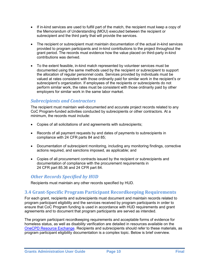- If in-kind services are used to fulfill part of the match, the recipient must keep a copy of the Memorandum of Understanding (MOU) executed between the recipient or subrecipient and the third party that will provide the services.
- The recipient or subrecipient must maintain documentation of the actual in-kind services provided to program participants and in-kind contributions to the project throughout the grant period. The records must evidence how the value placed on third-party in-kind contributions was derived.
- To the extent feasible, in-kind match represented by volunteer services must be documented using the same methods used by the recipient or subrecipient to support the allocation of regular personnel costs. Services provided by individuals must be valued at rates consistent with those ordinarily paid for similar work in the recipient's or subrecipient's organization. If employees of the recipients or subrecipients do not perform similar work, the rates must be consistent with those ordinarily paid by other employers for similar work in the same labor market.

#### *Subrecipients and Contractors*

The recipient must maintain well-documented and accurate project records related to any CoC Program-funded activities conducted by subrecipients or other contractors. At a minimum, the records must include:

- Copies of all solicitations of and agreements with subrecipients;
- Records of all payment requests by and dates of payments to subrecipients in compliance with 24 CFR parts 84 and 85;
- Documentation of subrecipient monitoring, including any monitoring findings, corrective actions required, and sanctions imposed, as applicable; and
- Copies of all procurement contracts issued by the recipient or subrecipients and documentation of compliance with the procurement requirements in 24 CFR part 85.36 and 24 CFR part 84.

#### *Other Records Specified by HUD*

Recipients must maintain any other records specified by HUD.

#### <span id="page-11-0"></span>**3.4 Grant-Specific Program Participant Recordkeeping Requirements**

For each grant, recipients and subrecipients must document and maintain records related to program participant eligibility and the services received by program participants in order to ensure that CoC Program funding is used in accordance with HUD requirements and grant agreements and to document that program participants are served as intended.

The program participant recordkeeping requirements and acceptable forms of evidence for homeless status, as well as disability verification are detailed in resources available on the [OneCPD Resource Exchange.](http://www.onecpd.info/) Recipients and subrecipients should refer to these materials, as program participant eligibility documentation is a complex topic. Below is brief overview.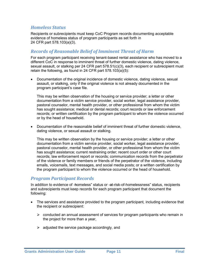#### *Homeless Status*

Recipients or subrecipients must keep CoC Program records documenting acceptable evidence of homeless status of program participants as set forth in 24 CFR part 578.103(a)(3).

#### *Records of Reasonable Belief of Imminent Threat of Harm*

For each program participant receiving tenant-based rental assistance who has moved to a different CoC in response to imminent threat of further domestic violence, dating violence, sexual assault, or stalking per 24 CFR part 578.51(c)(3), each recipient or subrecipient must retain the following, as found in 24 CFR part 578.103(a)(5):

 Documentation of the original incidence of domestic violence, dating violence, sexual assault, or stalking, only if the original violence is not already documented in the program participant's case file.

This may be written observation of the housing or service provider; a letter or other documentation from a victim service provider, social worker, legal assistance provider, pastoral counselor, mental health provider, or other professional from whom the victim has sought assistance; medical or dental records; court records or law enforcement records; or written certification by the program participant to whom the violence occurred or by the head of household.

 Documentation of the reasonable belief of imminent threat of further domestic violence, dating violence, or sexual assault or stalking.

This may be written observation by the housing or service provider; a letter or other documentation from a victim service provider, social worker, legal assistance provider, pastoral counselor, mental health provider, or other professional from whom the victim has sought assistance; current restraining order; recent court order or other court records; law enforcement report or records; communication records from the perpetrator of the violence or family members or friends of the perpetrator of the violence, including emails, voicemails, text messages, and social media posts; or a written certification by the program participant to whom the violence occurred or the head of household.

#### *Program Participant Records*

In addition to evidence of —homeless" status or —at-risk-of-homelessness" status, recipients and subrecipients must keep records for each program participant that document the following:

- The services and assistance provided to the program participant, including evidence that the recipient or subrecipient:
	- $\triangleright$  conducted an annual assessment of services for program participants who remain in the project for more than a year,
	- $\triangleright$  adjusted the service package accordingly, and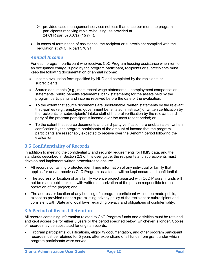- $\triangleright$  provided case management services not less than once per month to program participants receiving rapid re-housing, as provided at 24 CFR part 578.37(a)(1)(ii)(F).
- In cases of termination of assistance, the recipient or subrecipient complied with the regulation at 24 CFR part 578.91.

#### *Annual Income*

For each program participant who receives CoC Program housing assistance when rent or an occupancy charge is paid by the program participant, recipients or subrecipients must keep the following documentation of annual income:

- Income evaluation form specified by HUD and completed by the recipients or subrecipients;
- Source documents (e.g., most recent wage statements, unemployment compensation statements, public benefits statements, bank statements) for the assets held by the program participants and income received before the date of the evaluation;
- To the extent that source documents are unobtainable, written statements by the relevant third-parties (e.g., employer, government benefits administrator) or written certification by the recipients' or subrecipients' intake staff of the oral verification by the relevant thirdparty of the program participant's income over the most recent period; or
- To the extent that source documents and third-party verification are unobtainable, written certification by the program participants of the amount of income that the program participants are reasonably expected to receive over the 3-month period following the evaluation.

# <span id="page-13-0"></span>**3.5 Confidentiality of Records**

In addition to meeting the confidentiality and security requirements for HMIS data, and the standards described in Section 2.3 of this user guide, the recipients and subrecipients must develop and implement written procedures to ensure:

- All records containing protected identifying information of any individual or family that applies for and/or receives CoC Program assistance will be kept secure and confidential.
- The address or location of any family violence project assisted with CoC Program funds will not be made public, except with written authorization of the person responsible for the operation of the project; and
- The address or location of any housing of a program participant will not be made public, except as provided under a pre-existing privacy policy of the recipient or subrecipient and consistent with State and local laws regarding privacy and obligations of confidentiality.

# <span id="page-13-1"></span>**3.6 Period of Record Retention**

All records containing information related to CoC Program funds and activities must be retained and kept accessible for either 5 years or the period specified below, whichever is longer. Copies of records may be substituted for original records.

• Program participants' qualifications, eligibility documentation, and other program participant records must be retained for 5 years after expenditure of all funds from grant under which program participants were served.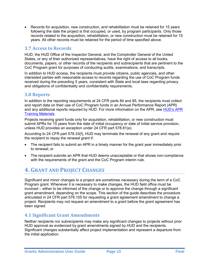Records for acquisition, new construction, and rehabilitation must be retained for 15 years following the date the project is first occupied, or used, by program participants. Only those records related to the acquisition, rehabilitation, or new construction must be retained for 15 years. All other records must be retained for the period of time specified above.

#### <span id="page-14-0"></span>**3.7 Access to Records**

HUD, the HUD Office of the Inspector General, and the Comptroller General of the United States, or any of their authorized representatives, have the right of access to all books, documents, papers, or other records of the recipients and subrecipients that are pertinent to the CoC Program grant for purposes of conducting audits, examinations, and transcripts.

In addition to HUD access, the recipients must provide citizens, public agencies, and other interested parties with reasonable access to records regarding the use of CoC Program funds received during the preceding 5 years, consistent with State and local laws regarding privacy and obligations of confidentiality and confidentiality requirements.

#### <span id="page-14-1"></span>**3.8 Reports**

In addition to the reporting requirements at 24 CFR parts 84 and 85, the recipients must collect and report data on their use of CoC Program funds in an Annual Performance Report (APR) and any additional reports required by HUD. For more information on the APR, see [HUD's APR](http://www.hudhre.info/apr)  [Training Materials.](http://www.hudhre.info/apr)

Projects receiving grant funds only for acquisition, rehabilitation, or new construction must submit APRs for 15 years from the date of initial occupancy or date of initial service provision, unless HUD provides an exception under 24 CFR part 578.81(e).

According to 24 CFR part 578.33(f), HUD may terminate the renewal of any grant and require the recipient to repay the renewal grant if:

- The recipient fails to submit an APR in a timely manner for the grant year immediately prior to renewal; or
- The recipient submits an APR that HUD deems unacceptable or that shows non-compliance with the requirements of the grant and the CoC Program interim rule.

# <span id="page-14-2"></span>**4. GRANT AND PROJECT CHANGES**

Significant and minor changes to a project are sometimes necessary during the term of a CoC Program grant. Whenever it is necessary to make changes, the HUD field office must be involved – either to be informed of the change or to approve the change through a significant grant amendment, depending on the scope. This section of the guide describes the procedure articulated in 24 CFR part 578.105 for requesting a grant agreement amendment to change a project. Recipients may not request an amendment to a grant before the grant agreement has been signed.

#### <span id="page-14-3"></span>**4.1 Significant Grant Amendments**

Neither recipients nor subrecipients may make any significant changes to projects without prior HUD approval as evidenced by grant amendments signed by HUD and the recipients. Significant changes substantially affect project implementation and represent a departure from the initial application.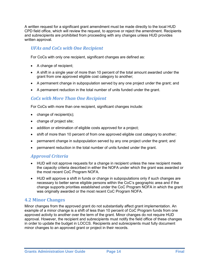A written request for a significant grant amendment must be made directly to the local HUD CPD field office, which will review the request, to approve or reject the amendment. Recipients and subrecipients are prohibited from proceeding with any changes unless HUD provides written approval.

# *UFAs and CoCs with One Recipient*

For CoCs with only one recipient, significant changes are defined as:

- A change of recipient;
- A shift in a single year of more than 10 percent of the total amount awarded under the grant from one approved eligible cost category to another;
- A permanent change in subpopulation served by any one project under the grant; and
- A permanent reduction in the total number of units funded under the grant.

#### *CoCs with More Than One Recipient*

For CoCs with more than one recipient, significant changes include:

- change of recipient(s);
- change of project site;
- addition or elimination of eligible costs approved for a project;
- shift of more than 10 percent of from one approved eligible cost category to another;
- permanent change in subpopulation served by any one project under the grant; and
- permanent reduction in the total number of units funded under the grant.

# *Approval Criteria*

- HUD will not approve requests for a change in recipient unless the new recipient meets the capacity criteria described in either the NOFA under which the grant was awarded or the most recent CoC Program NOFA.
- HUD will approve a shift in funds or change in subpopulations only if such changes are necessary to better serve eligible persons within the CoC's geographic area and if the change supports priorities established under the CoC Program NOFA in which the grant was originally awarded or the most recent CoC Program NOFA.

# <span id="page-15-0"></span>**4.2 Minor Changes**

Minor changes from the approved grant do not substantially affect grant implementation. An example of a minor change is a shift of less than 10 percent of CoC Program funds from one approved activity to another over the term of the grant. Minor changes do not require HUD approval. However, the recipient and subrecipients must notify the field office of these changes in order to update the budget in LOCCS. Recipients and subrecipients must fully document minor changes to an approved grant or project in their records.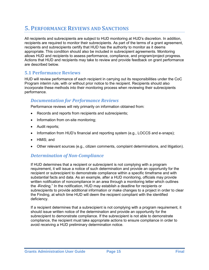# <span id="page-16-0"></span>**5. PERFORMANCE REVIEWS AND SANCTIONS**

All recipients and subrecipients are subject to HUD monitoring at HUD's discretion. In addition, recipients are required to monitor their subrecipients. As part of the terms of a grant agreement, recipients and subrecipients certify that HUD has the authority to monitor as it deems appropriate. This condition should also be included in subrecipient agreements. Monitoring allows HUD and recipients to assess performance, compliance, and program/project progress. Actions that HUD and recipients may take to review and provide feedback on grant performance are described below.

#### <span id="page-16-1"></span>**5.1 Performance Reviews**

HUD will review performance of each recipient in carrying out its responsibilities under the CoC Program interim rule, with or without prior notice to the recipient. Recipients should also incorporate these methods into their monitoring process when reviewing their subrecipients performance.

#### *Documentation for Performance Reviews*

Performance reviews will rely primarily on information obtained from:

- Records and reports from recipients and subrecipients;
- Information from on-site monitoring;
- Audit reports;
- Information from HUD's financial and reporting system (e.g., LOCCS and e-snaps);
- HMIS; and
- Other relevant sources (e.g., citizen comments, complaint determinations, and litigation).

#### *Determination of Non-Compliance*

If HUD determines that a recipient or subrecipient is not complying with a program requirement, it will issue a notice of such determination and provide an opportunity for the recipient or subrecipient to demonstrate compliance within a specific timeframe and with substantial facts and data. As an example, after a HUD monitoring, officials may provide written notification of noncompliance in an area through a monitoring letter which outlines the -Finding." In the notification, HUD may establish a deadline for recipients or subrecipients to provide additional information or make changes to a project in order to clear the Finding, at which time HUD will deem the recipient compliant with the identified deficiency.

If a recipient determines that a subrecipient is not complying with a program requirement, it should issue written notice of the determination and provide an opportunity for the subrecipient to demonstrate compliance. If the subrecipient is not able to demonstrate compliance, the recipient must take appropriate actions to ensure compliance in order to avoid receiving a HUD preliminary determination notice.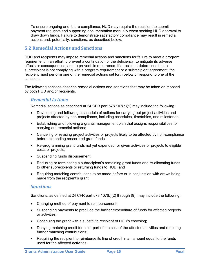To ensure ongoing and future compliance, HUD may require the recipient to submit payment requests and supporting documentation manually when seeking HUD approval to draw down funds. Failure to demonstrate satisfactory compliance may result in remedial actions and, potentially, sanctions, as described below.

## <span id="page-17-0"></span>**5.2 Remedial Actions and Sanctions**

HUD and recipients may impose remedial actions and sanctions for failure to meet a program requirement in an effort to prevent a continuation of the deficiency, to mitigate its adverse effects or consequences, and to prevent its recurrence. If a recipient determines that a subrecipient is not complying with a program requirement or a subrecipient agreement, the recipient must perform one of the remedial actions set forth below or respond to one of the sanctions.

The following sections describe remedial actions and sanctions that may be taken or imposed by both HUD and/or recipients.

#### *Remedial Actions*

Remedial actions as described at 24 CFR part 578.107(b)(1) may include the following*:* 

- Developing and following a schedule of actions for carrying out project activities and projects affected by non-compliance, including schedules, timetables, and milestones;
- Establishing and following a grants management plan that assigns responsibilities for carrying out remedial actions;
- Canceling or revising project activities or projects likely to be affected by non-compliance before expending associated grant funds;
- Re-programming grant funds not yet expended for given activities or projects to eligible costs or projects;
- Suspending funds disbursement;
- Reducing or terminating a subrecipient's remaining grant funds and re-allocating funds to other subrecipients or returning funds to HUD; and
- Requiring matching contributions to be made before or in conjunction with draws being made from the recipient's grant.

#### *Sanctions*

Sanctions, as defined at 24 CFR part 578.107(b)(2) through (9), may include the following:

- Changing method of payment to reimbursement;
- Suspending payments to preclude the further expenditure of funds for affected projects or activities;
- Continuing the grant with a substitute recipient of HUD's choosing;
- Denying matching credit for all or part of the cost of the affected activities and requiring further matching contributions;
- Requiring the recipient to reimburse its line of credit in an amount equal to the funds used for the affected activities;